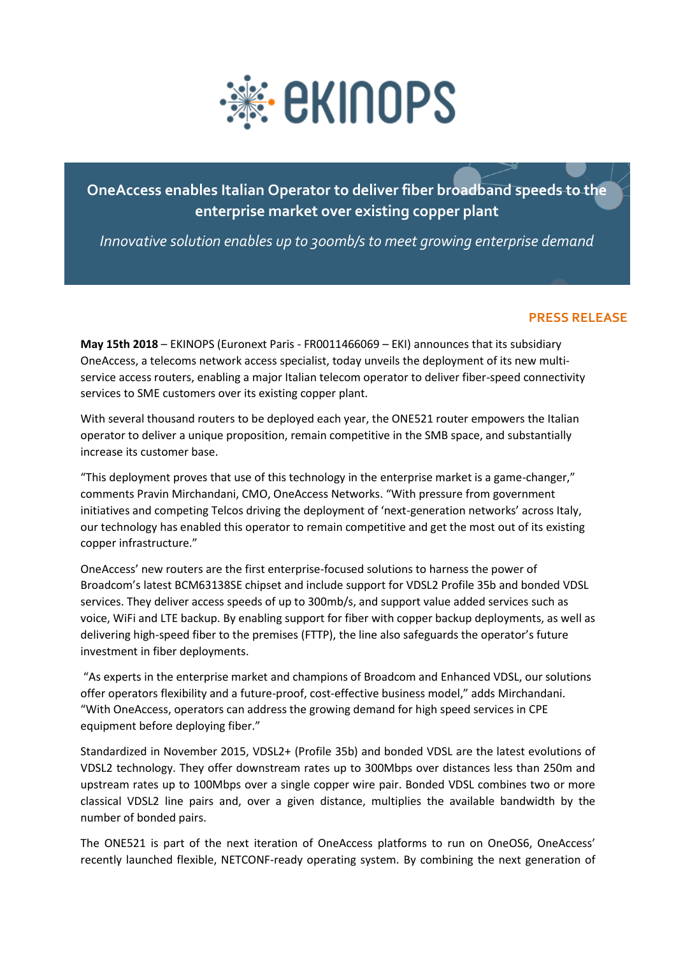

## **OneAccess enables Italian Operator to deliver fiber broadband speeds to the enterprise market over existing copper plant**

*Innovative solution enables up to 300mb/s to meet growing enterprise demand* 

## **PRESS RELEASE**

**May 15th 2018** – EKINOPS (Euronext Paris - FR0011466069 – EKI) announces that its subsidiary OneAccess, a telecoms network access specialist, today unveils the deployment of its new multiservice access routers, enabling a major Italian telecom operator to deliver fiber-speed connectivity services to SME customers over its existing copper plant.

With several thousand routers to be deployed each year, the ONE521 router empowers the Italian operator to deliver a unique proposition, remain competitive in the SMB space, and substantially increase its customer base.

"This deployment proves that use of this technology in the enterprise market is a game-changer," comments Pravin Mirchandani, CMO, OneAccess Networks. "With pressure from government initiatives and competing Telcos driving the deployment of 'next-generation networks' across Italy, our technology has enabled this operator to remain competitive and get the most out of its existing copper infrastructure."

OneAccess' new routers are the first enterprise-focused solutions to harness the power of Broadcom's latest BCM63138SE chipset and include support for VDSL2 Profile 35b and bonded VDSL services. They deliver access speeds of up to 300mb/s, and support value added services such as voice, WiFi and LTE backup. By enabling support for fiber with copper backup deployments, as well as delivering high-speed fiber to the premises (FTTP), the line also safeguards the operator's future investment in fiber deployments.

"As experts in the enterprise market and champions of Broadcom and Enhanced VDSL, our solutions offer operators flexibility and a future-proof, cost-effective business model," adds Mirchandani. "With OneAccess, operators can address the growing demand for high speed services in CPE equipment before deploying fiber."

Standardized in November 2015, VDSL2+ (Profile 35b) and bonded VDSL are the latest evolutions of VDSL2 technology. They offer downstream rates up to 300Mbps over distances less than 250m and upstream rates up to 100Mbps over a single copper wire pair. Bonded VDSL combines two or more classical VDSL2 line pairs and, over a given distance, multiplies the available bandwidth by the number of bonded pairs.

The ONE521 is part of the next iteration of OneAccess platforms to run on OneOS6, OneAccess' recently launched flexible, NETCONF-ready operating system. By combining the next generation of